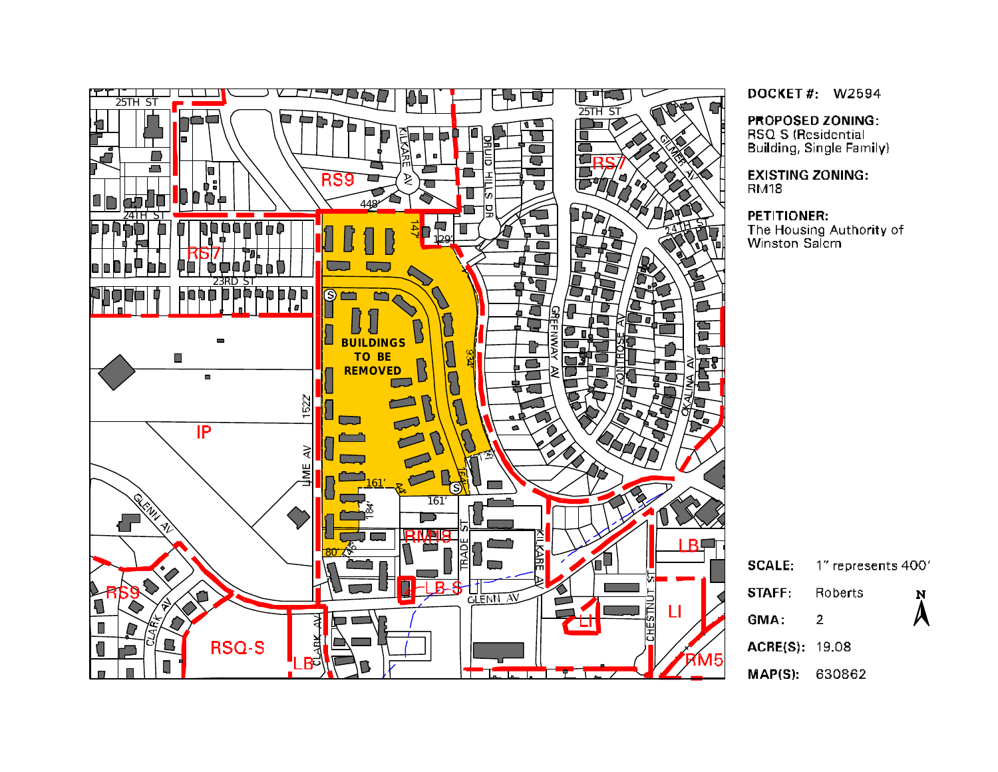

DOCKET#: W2594

PROPOSED ZONING:

RSQ-S (Residential Building, Single Family)

**EXISTING ZONING: RM18** 

#### PETITIONER:

The Housing Authority of<br>Winston-Salem

| <b>SCALE:</b>  | $1"$ represents $400'$ |                        |
|----------------|------------------------|------------------------|
| <b>STAFF</b>   | <b>Roberts</b>         | N                      |
| GMA:           | 2                      | $\boldsymbol{\lambda}$ |
| ACRE(S): 19.08 |                        |                        |
| MAPIS) 630862  |                        |                        |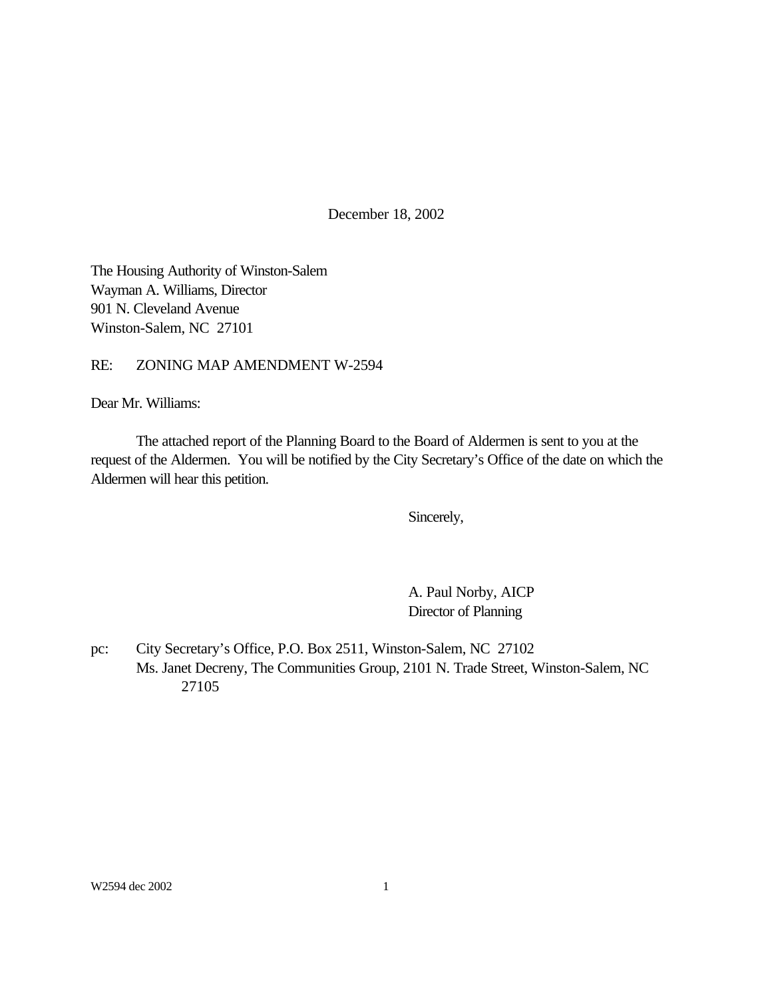December 18, 2002

The Housing Authority of Winston-Salem Wayman A. Williams, Director 901 N. Cleveland Avenue Winston-Salem, NC 27101

RE: ZONING MAP AMENDMENT W-2594

Dear Mr. Williams:

The attached report of the Planning Board to the Board of Aldermen is sent to you at the request of the Aldermen. You will be notified by the City Secretary's Office of the date on which the Aldermen will hear this petition.

Sincerely,

A. Paul Norby, AICP Director of Planning

pc: City Secretary's Office, P.O. Box 2511, Winston-Salem, NC 27102 Ms. Janet Decreny, The Communities Group, 2101 N. Trade Street, Winston-Salem, NC 27105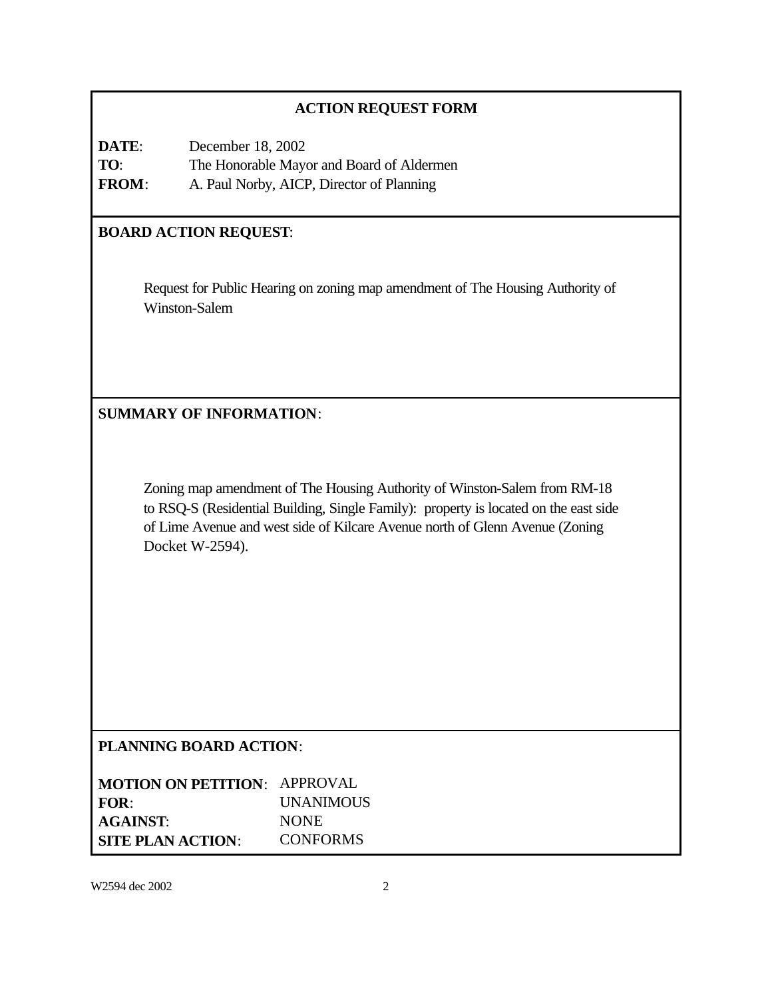# **ACTION REQUEST FORM**

| DATE:        | December 18, 2002                         |
|--------------|-------------------------------------------|
| TO:          | The Honorable Mayor and Board of Aldermen |
| <b>FROM:</b> | A. Paul Norby, AICP, Director of Planning |

# **BOARD ACTION REQUEST**:

Request for Public Hearing on zoning map amendment of The Housing Authority of Winston-Salem

**SUMMARY OF INFORMATION**:

Zoning map amendment of The Housing Authority of Winston-Salem from RM-18 to RSQ-S (Residential Building, Single Family): property is located on the east side of Lime Avenue and west side of Kilcare Avenue north of Glenn Avenue (Zoning Docket W-2594).

# **PLANNING BOARD ACTION**:

| <b>MOTION ON PETITION: APPROVAL</b> |                  |
|-------------------------------------|------------------|
| FOR:                                | <b>UNANIMOUS</b> |
| <b>AGAINST:</b>                     | <b>NONE</b>      |
| <b>SITE PLAN ACTION:</b>            | <b>CONFORMS</b>  |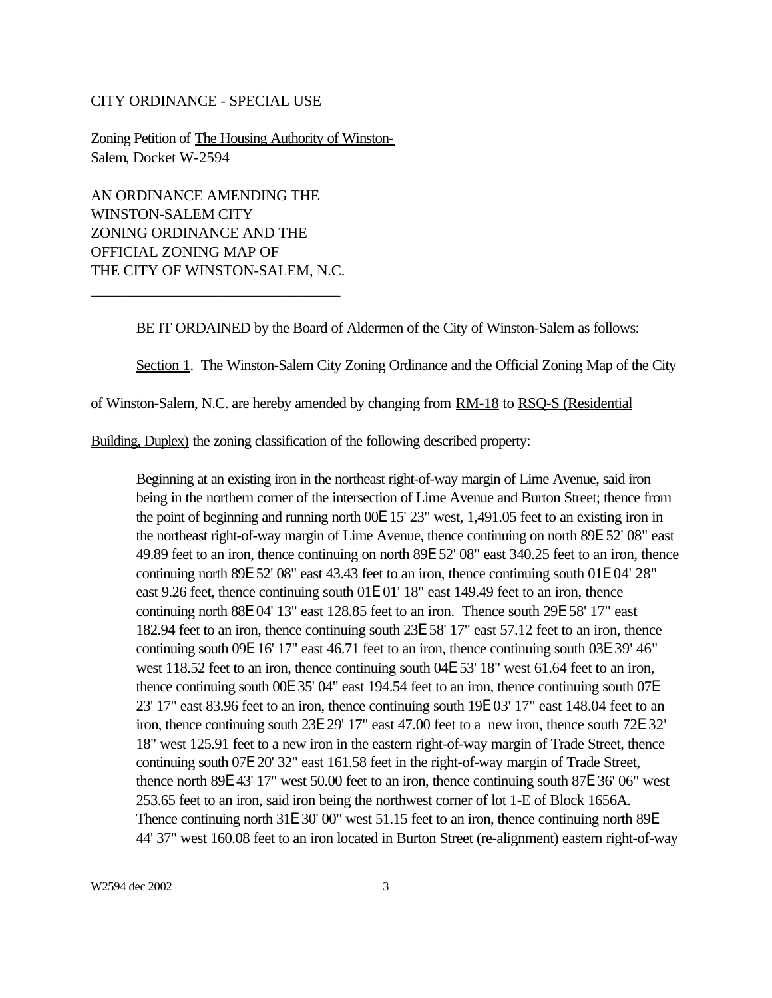#### CITY ORDINANCE - SPECIAL USE

Zoning Petition of The Housing Authority of Winston-Salem, Docket W-2594

AN ORDINANCE AMENDING THE WINSTON-SALEM CITY ZONING ORDINANCE AND THE OFFICIAL ZONING MAP OF THE CITY OF WINSTON-SALEM, N.C.

\_\_\_\_\_\_\_\_\_\_\_\_\_\_\_\_\_\_\_\_\_\_\_\_\_\_\_\_\_\_\_\_\_

BE IT ORDAINED by the Board of Aldermen of the City of Winston-Salem as follows:

Section 1. The Winston-Salem City Zoning Ordinance and the Official Zoning Map of the City

of Winston-Salem, N.C. are hereby amended by changing from RM-18 to RSQ-S (Residential

Building, Duplex) the zoning classification of the following described property:

Beginning at an existing iron in the northeast right-of-way margin of Lime Avenue, said iron being in the northern corner of the intersection of Lime Avenue and Burton Street; thence from the point of beginning and running north 00E 15' 23" west, 1,491.05 feet to an existing iron in the northeast right-of-way margin of Lime Avenue, thence continuing on north 89E 52' 08" east 49.89 feet to an iron, thence continuing on north 89E 52' 08" east 340.25 feet to an iron, thence continuing north 89E 52' 08" east 43.43 feet to an iron, thence continuing south 01E 04' 28" east 9.26 feet, thence continuing south 01E 01' 18" east 149.49 feet to an iron, thence continuing north 88E 04' 13" east 128.85 feet to an iron. Thence south 29E 58' 17" east 182.94 feet to an iron, thence continuing south 23E 58' 17" east 57.12 feet to an iron, thence continuing south 09E 16' 17" east 46.71 feet to an iron, thence continuing south 03E 39' 46" west 118.52 feet to an iron, thence continuing south 04E 53' 18" west 61.64 feet to an iron, thence continuing south 00E 35' 04" east 194.54 feet to an iron, thence continuing south 07E 23' 17" east 83.96 feet to an iron, thence continuing south 19E 03' 17" east 148.04 feet to an iron, thence continuing south 23E 29' 17" east 47.00 feet to a new iron, thence south 72E 32' 18" west 125.91 feet to a new iron in the eastern right-of-way margin of Trade Street, thence continuing south 07E 20' 32" east 161.58 feet in the right-of-way margin of Trade Street, thence north 89E 43' 17" west 50.00 feet to an iron, thence continuing south 87E 36' 06" west 253.65 feet to an iron, said iron being the northwest corner of lot 1-E of Block 1656A. Thence continuing north 31E 30' 00" west 51.15 feet to an iron, thence continuing north 89E 44' 37" west 160.08 feet to an iron located in Burton Street (re-alignment) eastern right-of-way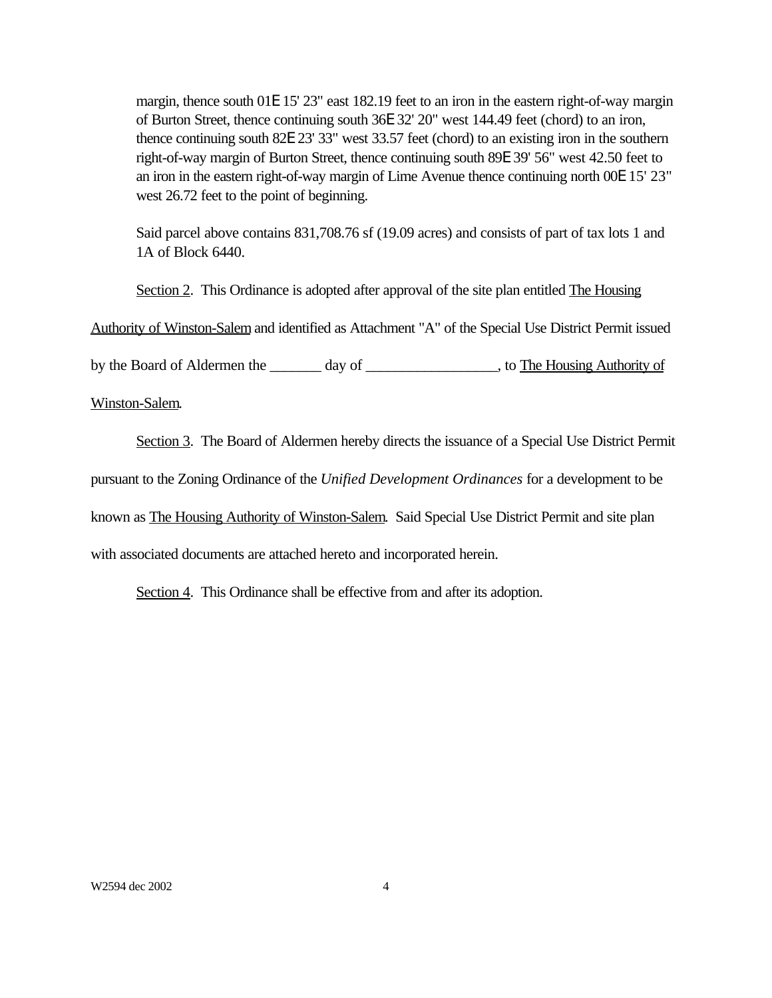margin, thence south 01E 15' 23" east 182.19 feet to an iron in the eastern right-of-way margin of Burton Street, thence continuing south 36E 32' 20" west 144.49 feet (chord) to an iron, thence continuing south 82E 23' 33" west 33.57 feet (chord) to an existing iron in the southern right-of-way margin of Burton Street, thence continuing south 89E 39' 56" west 42.50 feet to an iron in the eastern right-of-way margin of Lime Avenue thence continuing north 00E 15' 23" west 26.72 feet to the point of beginning.

Said parcel above contains 831,708.76 sf (19.09 acres) and consists of part of tax lots 1 and 1A of Block 6440.

Section 2. This Ordinance is adopted after approval of the site plan entitled The Housing

Authority of Winston-Salem and identified as Attachment "A" of the Special Use District Permit issued

by the Board of Aldermen the \_\_\_\_\_\_\_ day of \_\_\_\_\_\_\_\_\_\_\_\_\_\_\_\_, to The Housing Authority of

Winston-Salem.

Section 3. The Board of Aldermen hereby directs the issuance of a Special Use District Permit

pursuant to the Zoning Ordinance of the *Unified Development Ordinances* for a development to be

known as The Housing Authority of Winston-Salem. Said Special Use District Permit and site plan

with associated documents are attached hereto and incorporated herein.

Section 4. This Ordinance shall be effective from and after its adoption.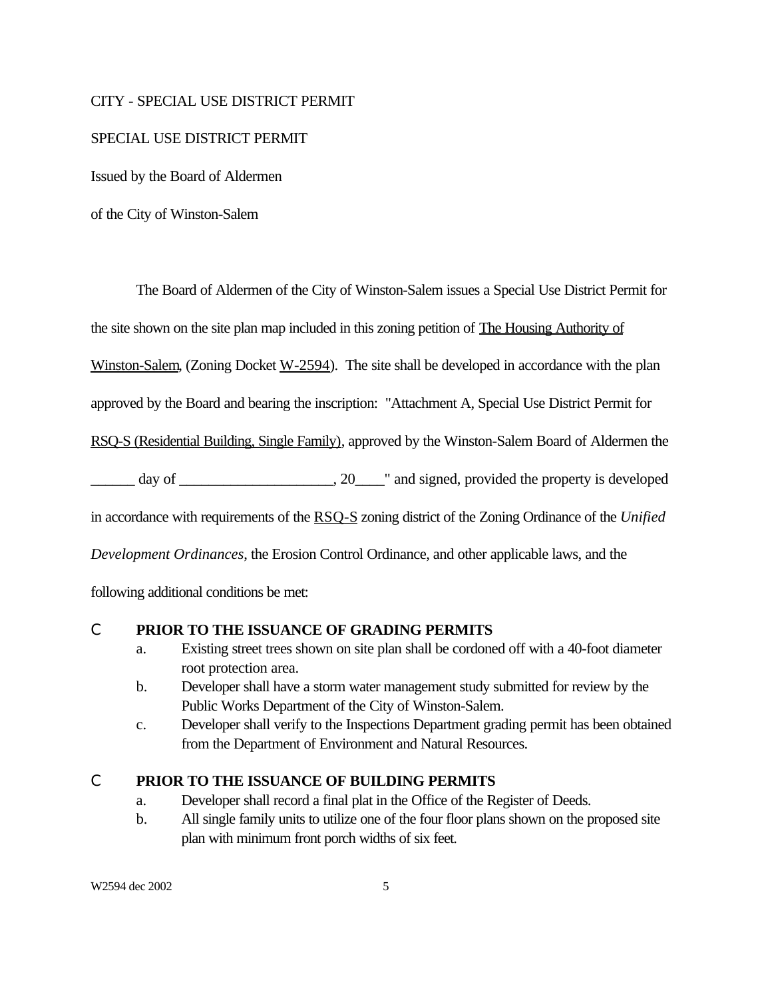#### CITY - SPECIAL USE DISTRICT PERMIT

#### SPECIAL USE DISTRICT PERMIT

Issued by the Board of Aldermen

of the City of Winston-Salem

The Board of Aldermen of the City of Winston-Salem issues a Special Use District Permit for

the site shown on the site plan map included in this zoning petition of The Housing Authority of

Winston-Salem, (Zoning Docket W-2594). The site shall be developed in accordance with the plan

approved by the Board and bearing the inscription: "Attachment A, Special Use District Permit for

RSQ-S (Residential Building, Single Family), approved by the Winston-Salem Board of Aldermen the

\_\_\_\_\_\_ day of \_\_\_\_\_\_\_\_\_\_\_\_\_\_\_\_\_\_\_\_\_, 20\_\_\_\_" and signed, provided the property is developed

in accordance with requirements of the RSQ-S zoning district of the Zoning Ordinance of the *Unified*

*Development Ordinances*, the Erosion Control Ordinance, and other applicable laws, and the

following additional conditions be met:

#### C **PRIOR TO THE ISSUANCE OF GRADING PERMITS**

- a. Existing street trees shown on site plan shall be cordoned off with a 40-foot diameter root protection area.
- b. Developer shall have a storm water management study submitted for review by the Public Works Department of the City of Winston-Salem.
- c. Developer shall verify to the Inspections Department grading permit has been obtained from the Department of Environment and Natural Resources.

#### C **PRIOR TO THE ISSUANCE OF BUILDING PERMITS**

- a. Developer shall record a final plat in the Office of the Register of Deeds.
- b. All single family units to utilize one of the four floor plans shown on the proposed site plan with minimum front porch widths of six feet.

W2594 dec 2002 5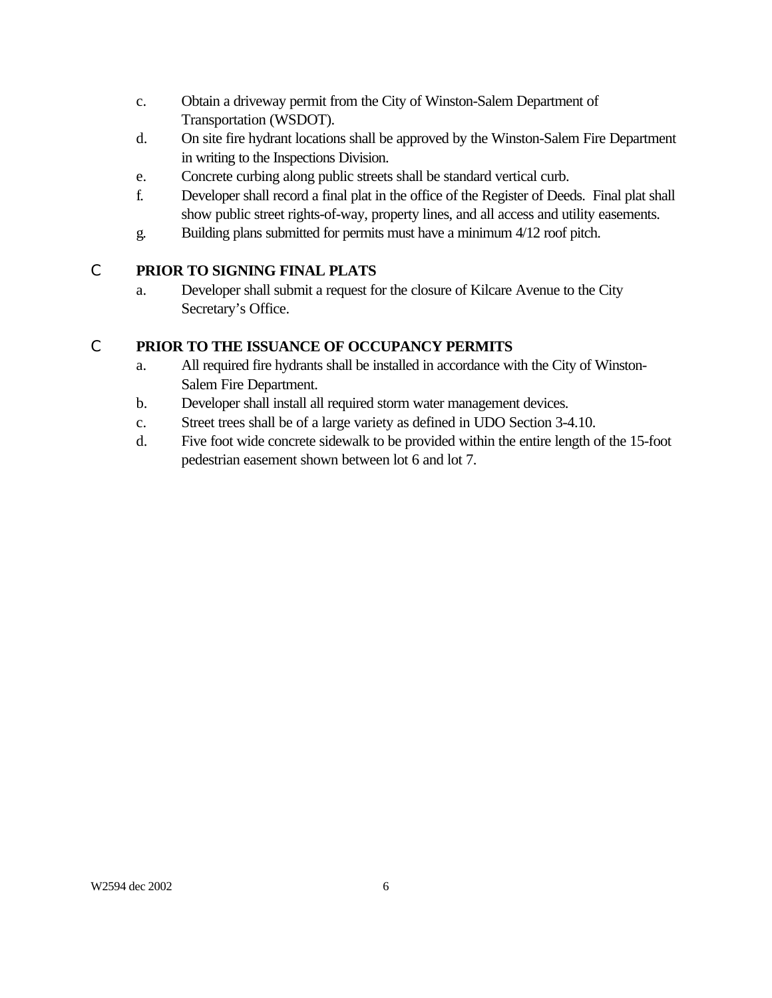- c. Obtain a driveway permit from the City of Winston-Salem Department of Transportation (WSDOT).
- d. On site fire hydrant locations shall be approved by the Winston-Salem Fire Department in writing to the Inspections Division.
- e. Concrete curbing along public streets shall be standard vertical curb.
- f. Developer shall record a final plat in the office of the Register of Deeds. Final plat shall show public street rights-of-way, property lines, and all access and utility easements.
- g. Building plans submitted for permits must have a minimum 4/12 roof pitch.

# C **PRIOR TO SIGNING FINAL PLATS**

a. Developer shall submit a request for the closure of Kilcare Avenue to the City Secretary's Office.

# C **PRIOR TO THE ISSUANCE OF OCCUPANCY PERMITS**

- a. All required fire hydrants shall be installed in accordance with the City of Winston-Salem Fire Department.
- b. Developer shall install all required storm water management devices.
- c. Street trees shall be of a large variety as defined in UDO Section 3-4.10.
- d. Five foot wide concrete sidewalk to be provided within the entire length of the 15-foot pedestrian easement shown between lot 6 and lot 7.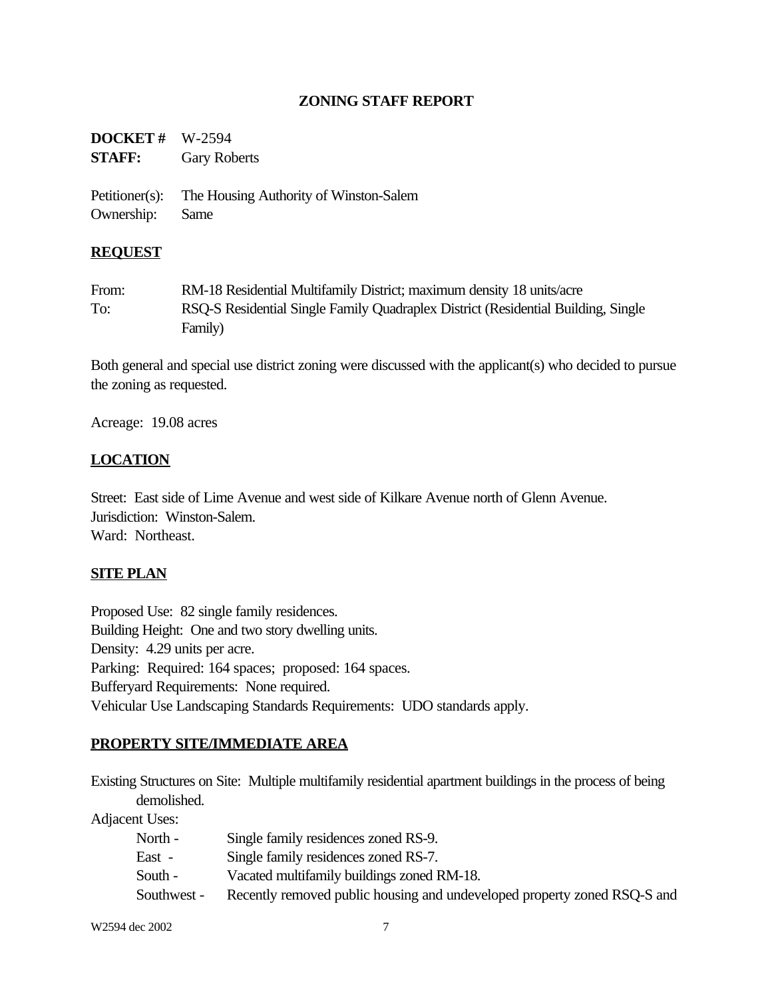# **ZONING STAFF REPORT**

| <b>DOCKET</b> # $W-2594$ |                     |
|--------------------------|---------------------|
| <b>STAFF:</b>            | <b>Gary Roberts</b> |

Petitioner(s): The Housing Authority of Winston-Salem Ownership: Same

#### **REQUEST**

From: RM-18 Residential Multifamily District; maximum density 18 units/acre To: RSQ-S Residential Single Family Quadraplex District (Residential Building, Single Family)

Both general and special use district zoning were discussed with the applicant(s) who decided to pursue the zoning as requested.

Acreage: 19.08 acres

# **LOCATION**

Street: East side of Lime Avenue and west side of Kilkare Avenue north of Glenn Avenue. Jurisdiction: Winston-Salem. Ward: Northeast.

#### **SITE PLAN**

Proposed Use: 82 single family residences. Building Height: One and two story dwelling units. Density: 4.29 units per acre. Parking: Required: 164 spaces; proposed: 164 spaces. Bufferyard Requirements: None required. Vehicular Use Landscaping Standards Requirements: UDO standards apply.

#### **PROPERTY SITE/IMMEDIATE AREA**

Existing Structures on Site: Multiple multifamily residential apartment buildings in the process of being demolished.

Adjacent Uses:

| North -     | Single family residences zoned RS-9.                                     |
|-------------|--------------------------------------------------------------------------|
| East -      | Single family residences zoned RS-7.                                     |
| South -     | Vacated multifamily buildings zoned RM-18.                               |
| Southwest - | Recently removed public housing and undeveloped property zoned RSQ-S and |

W2594 dec 2002 7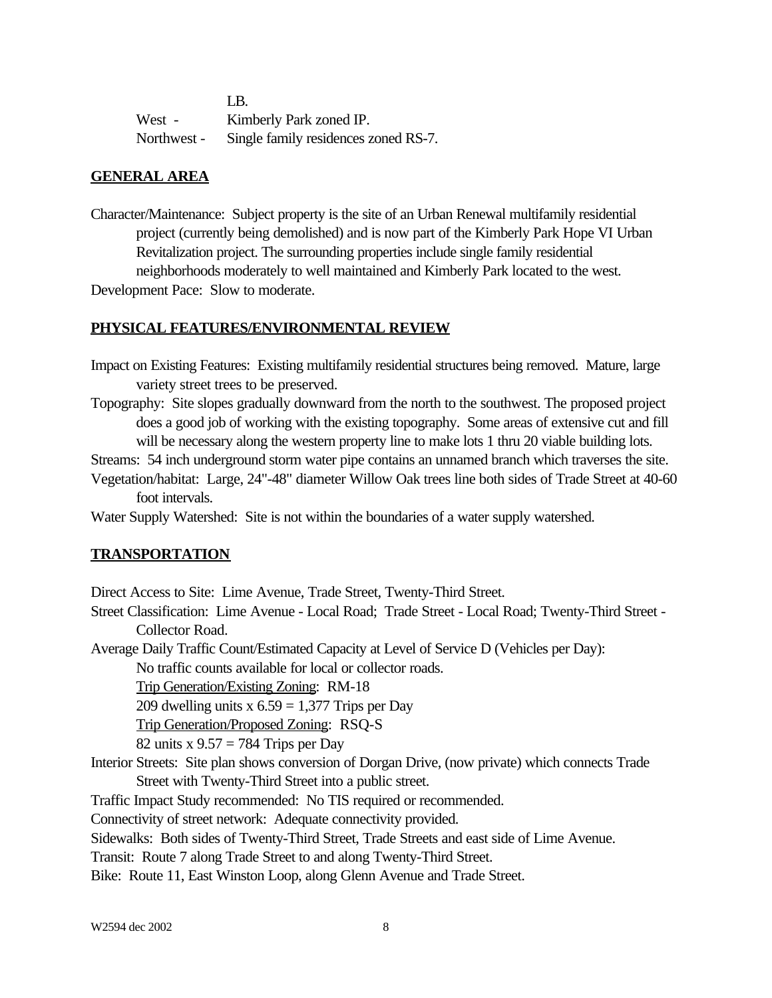|             | T.B.                                 |
|-------------|--------------------------------------|
| West -      | Kimberly Park zoned IP.              |
| Northwest - | Single family residences zoned RS-7. |

### **GENERAL AREA**

Character/Maintenance: Subject property is the site of an Urban Renewal multifamily residential project (currently being demolished) and is now part of the Kimberly Park Hope VI Urban Revitalization project. The surrounding properties include single family residential neighborhoods moderately to well maintained and Kimberly Park located to the west. Development Pace: Slow to moderate.

#### **PHYSICAL FEATURES/ENVIRONMENTAL REVIEW**

- Impact on Existing Features: Existing multifamily residential structures being removed. Mature, large variety street trees to be preserved.
- Topography: Site slopes gradually downward from the north to the southwest. The proposed project does a good job of working with the existing topography. Some areas of extensive cut and fill will be necessary along the western property line to make lots 1 thru 20 viable building lots.

Streams: 54 inch underground storm water pipe contains an unnamed branch which traverses the site.

Vegetation/habitat: Large, 24"-48" diameter Willow Oak trees line both sides of Trade Street at 40-60 foot intervals.

Water Supply Watershed: Site is not within the boundaries of a water supply watershed.

#### **TRANSPORTATION**

Direct Access to Site: Lime Avenue, Trade Street, Twenty-Third Street.

Street Classification: Lime Avenue - Local Road; Trade Street - Local Road; Twenty-Third Street - Collector Road.

Average Daily Traffic Count/Estimated Capacity at Level of Service D (Vehicles per Day):

No traffic counts available for local or collector roads.

Trip Generation/Existing Zoning: RM-18

209 dwelling units  $x 6.59 = 1,377$  Trips per Day

Trip Generation/Proposed Zoning: RSQ-S

82 units x  $9.57 = 784$  Trips per Day

Interior Streets: Site plan shows conversion of Dorgan Drive, (now private) which connects Trade Street with Twenty-Third Street into a public street.

Traffic Impact Study recommended: No TIS required or recommended.

Connectivity of street network: Adequate connectivity provided.

Sidewalks: Both sides of Twenty-Third Street, Trade Streets and east side of Lime Avenue.

Transit: Route 7 along Trade Street to and along Twenty-Third Street.

Bike: Route 11, East Winston Loop, along Glenn Avenue and Trade Street.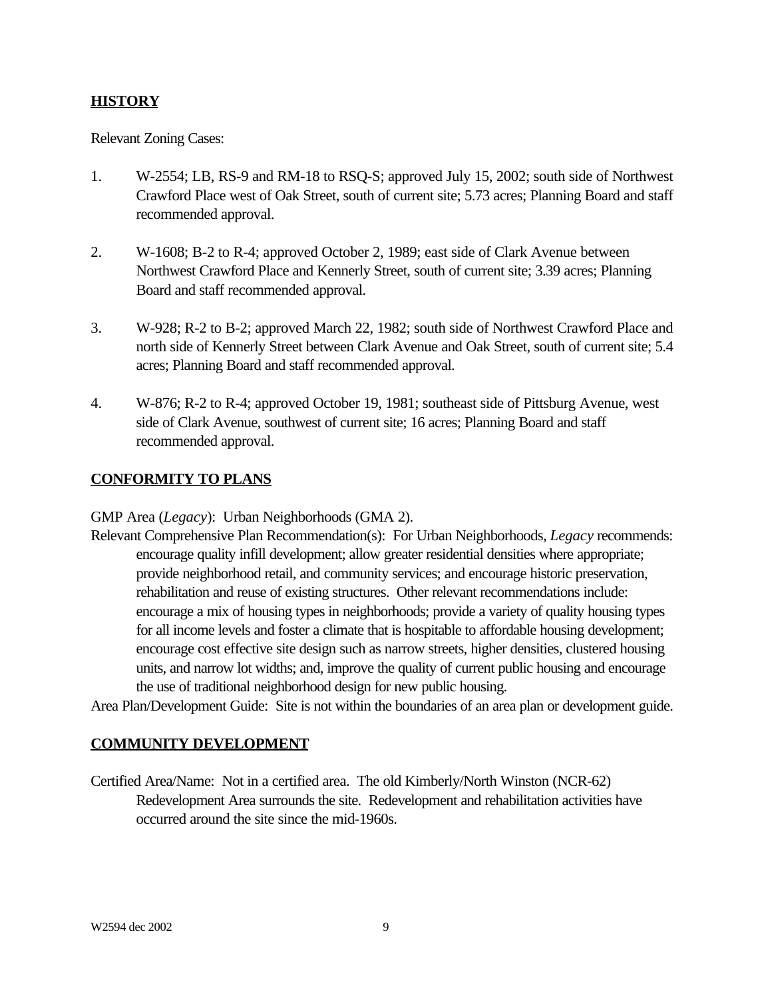# **HISTORY**

Relevant Zoning Cases:

- 1. W-2554; LB, RS-9 and RM-18 to RSQ-S; approved July 15, 2002; south side of Northwest Crawford Place west of Oak Street, south of current site; 5.73 acres; Planning Board and staff recommended approval.
- 2. W-1608; B-2 to R-4; approved October 2, 1989; east side of Clark Avenue between Northwest Crawford Place and Kennerly Street, south of current site; 3.39 acres; Planning Board and staff recommended approval.
- 3. W-928; R-2 to B-2; approved March 22, 1982; south side of Northwest Crawford Place and north side of Kennerly Street between Clark Avenue and Oak Street, south of current site; 5.4 acres; Planning Board and staff recommended approval.
- 4. W-876; R-2 to R-4; approved October 19, 1981; southeast side of Pittsburg Avenue, west side of Clark Avenue, southwest of current site; 16 acres; Planning Board and staff recommended approval.

#### **CONFORMITY TO PLANS**

GMP Area (*Legacy*): Urban Neighborhoods (GMA 2).

Relevant Comprehensive Plan Recommendation(s): For Urban Neighborhoods, *Legacy* recommends: encourage quality infill development; allow greater residential densities where appropriate; provide neighborhood retail, and community services; and encourage historic preservation, rehabilitation and reuse of existing structures. Other relevant recommendations include: encourage a mix of housing types in neighborhoods; provide a variety of quality housing types for all income levels and foster a climate that is hospitable to affordable housing development; encourage cost effective site design such as narrow streets, higher densities, clustered housing units, and narrow lot widths; and, improve the quality of current public housing and encourage the use of traditional neighborhood design for new public housing.

Area Plan/Development Guide: Site is not within the boundaries of an area plan or development guide.

#### **COMMUNITY DEVELOPMENT**

Certified Area/Name: Not in a certified area. The old Kimberly/North Winston (NCR-62) Redevelopment Area surrounds the site. Redevelopment and rehabilitation activities have occurred around the site since the mid-1960s.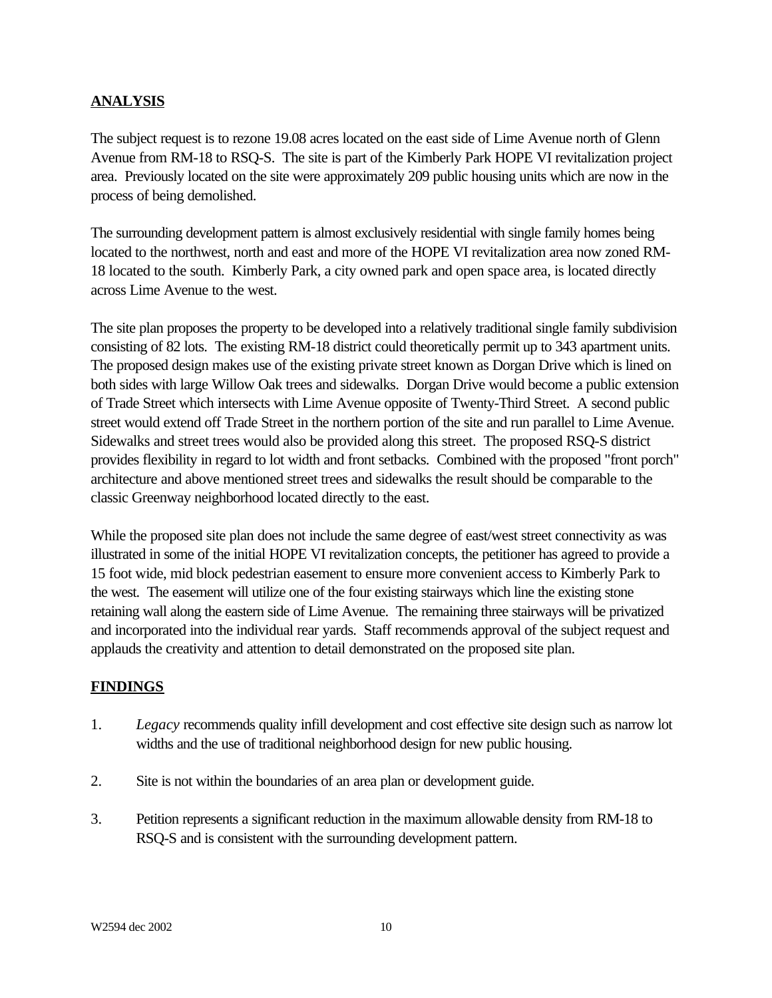# **ANALYSIS**

The subject request is to rezone 19.08 acres located on the east side of Lime Avenue north of Glenn Avenue from RM-18 to RSQ-S. The site is part of the Kimberly Park HOPE VI revitalization project area. Previously located on the site were approximately 209 public housing units which are now in the process of being demolished.

The surrounding development pattern is almost exclusively residential with single family homes being located to the northwest, north and east and more of the HOPE VI revitalization area now zoned RM-18 located to the south. Kimberly Park, a city owned park and open space area, is located directly across Lime Avenue to the west.

The site plan proposes the property to be developed into a relatively traditional single family subdivision consisting of 82 lots. The existing RM-18 district could theoretically permit up to 343 apartment units. The proposed design makes use of the existing private street known as Dorgan Drive which is lined on both sides with large Willow Oak trees and sidewalks. Dorgan Drive would become a public extension of Trade Street which intersects with Lime Avenue opposite of Twenty-Third Street. A second public street would extend off Trade Street in the northern portion of the site and run parallel to Lime Avenue. Sidewalks and street trees would also be provided along this street. The proposed RSQ-S district provides flexibility in regard to lot width and front setbacks. Combined with the proposed "front porch" architecture and above mentioned street trees and sidewalks the result should be comparable to the classic Greenway neighborhood located directly to the east.

While the proposed site plan does not include the same degree of east/west street connectivity as was illustrated in some of the initial HOPE VI revitalization concepts, the petitioner has agreed to provide a 15 foot wide, mid block pedestrian easement to ensure more convenient access to Kimberly Park to the west. The easement will utilize one of the four existing stairways which line the existing stone retaining wall along the eastern side of Lime Avenue. The remaining three stairways will be privatized and incorporated into the individual rear yards. Staff recommends approval of the subject request and applauds the creativity and attention to detail demonstrated on the proposed site plan.

#### **FINDINGS**

- 1. *Legacy* recommends quality infill development and cost effective site design such as narrow lot widths and the use of traditional neighborhood design for new public housing.
- 2. Site is not within the boundaries of an area plan or development guide.
- 3. Petition represents a significant reduction in the maximum allowable density from RM-18 to RSQ-S and is consistent with the surrounding development pattern.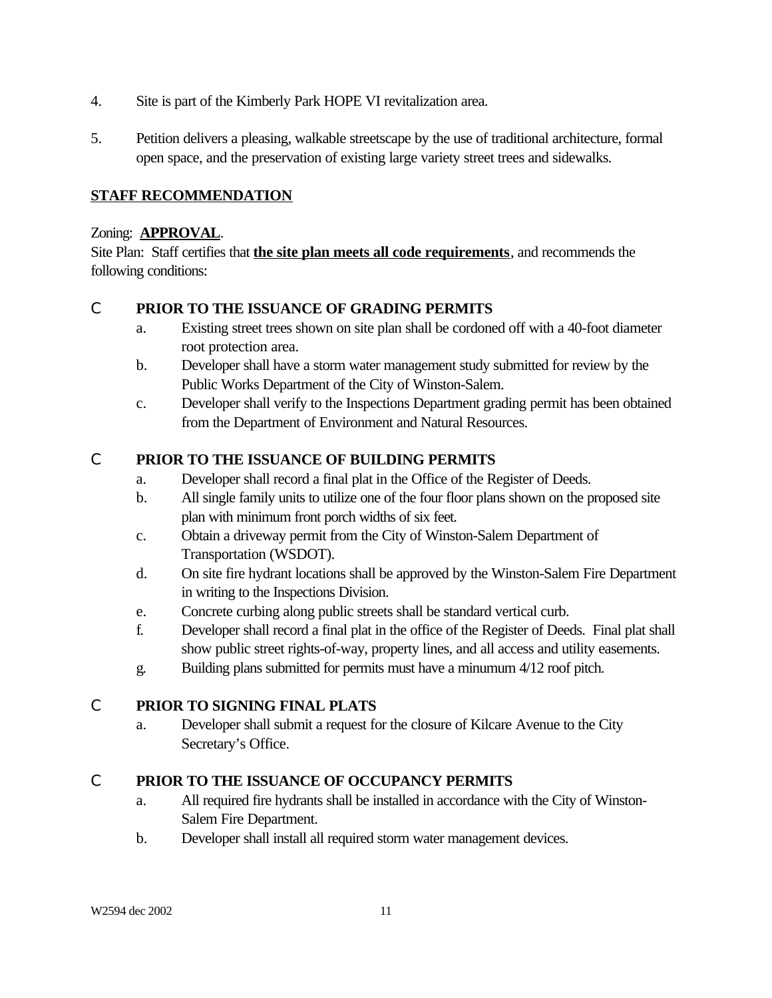- 4. Site is part of the Kimberly Park HOPE VI revitalization area.
- 5. Petition delivers a pleasing, walkable streetscape by the use of traditional architecture, formal open space, and the preservation of existing large variety street trees and sidewalks.

# **STAFF RECOMMENDATION**

#### Zoning: **APPROVAL**.

Site Plan: Staff certifies that **the site plan meets all code requirements**, and recommends the following conditions:

# C **PRIOR TO THE ISSUANCE OF GRADING PERMITS**

- a. Existing street trees shown on site plan shall be cordoned off with a 40-foot diameter root protection area.
- b. Developer shall have a storm water management study submitted for review by the Public Works Department of the City of Winston-Salem.
- c. Developer shall verify to the Inspections Department grading permit has been obtained from the Department of Environment and Natural Resources.

# C **PRIOR TO THE ISSUANCE OF BUILDING PERMITS**

- a. Developer shall record a final plat in the Office of the Register of Deeds.
- b. All single family units to utilize one of the four floor plans shown on the proposed site plan with minimum front porch widths of six feet.
- c. Obtain a driveway permit from the City of Winston-Salem Department of Transportation (WSDOT).
- d. On site fire hydrant locations shall be approved by the Winston-Salem Fire Department in writing to the Inspections Division.
- e. Concrete curbing along public streets shall be standard vertical curb.
- f. Developer shall record a final plat in the office of the Register of Deeds. Final plat shall show public street rights-of-way, property lines, and all access and utility easements.
- g. Building plans submitted for permits must have a minumum 4/12 roof pitch.

# C **PRIOR TO SIGNING FINAL PLATS**

a. Developer shall submit a request for the closure of Kilcare Avenue to the City Secretary's Office.

#### C **PRIOR TO THE ISSUANCE OF OCCUPANCY PERMITS**

- a. All required fire hydrants shall be installed in accordance with the City of Winston-Salem Fire Department.
- b. Developer shall install all required storm water management devices.